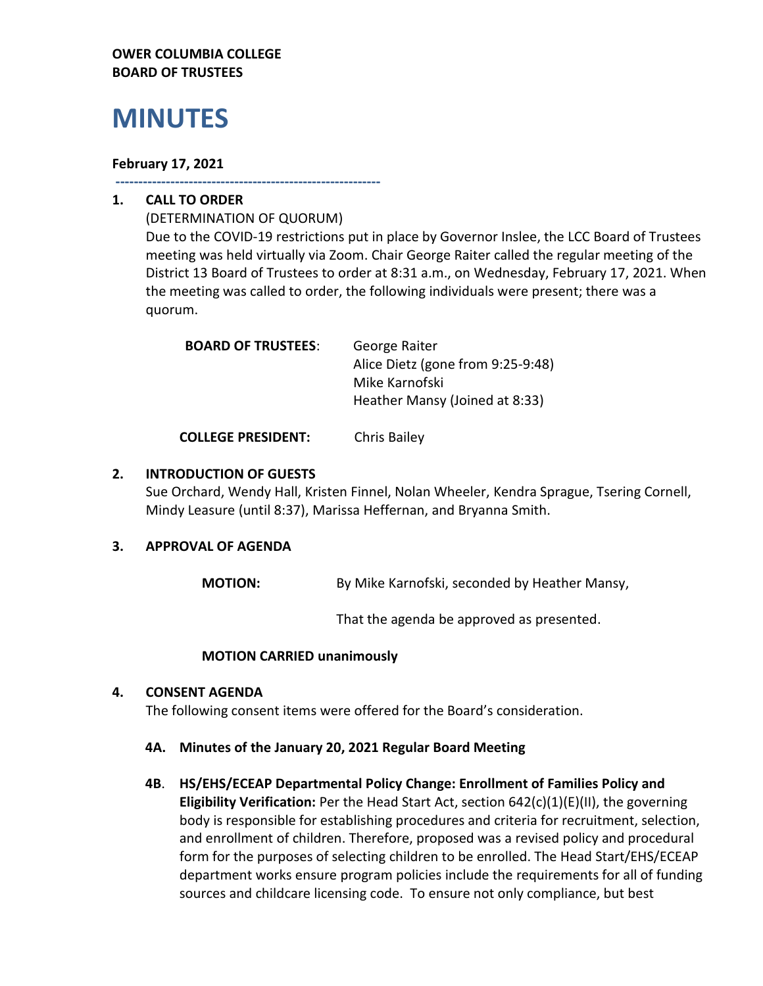# **OWER COLUMBIA COLLEGE BOARD OF TRUSTEES**

# **MINUTES**

## **February 17, 2021**

**----------------------------------------------------------**

# **1. CALL TO ORDER**

(DETERMINATION OF QUORUM) Due to the COVID-19 restrictions put in place by Governor Inslee, the LCC Board of Trustees meeting was held virtually via Zoom. Chair George Raiter called the regular meeting of the District 13 Board of Trustees to order at 8:31 a.m., on Wednesday, February 17, 2021. When the meeting was called to order, the following individuals were present; there was a quorum.

| <b>BOARD OF TRUSTEES:</b> | George Raiter                     |
|---------------------------|-----------------------------------|
|                           | Alice Dietz (gone from 9:25-9:48) |
|                           | Mike Karnofski                    |
|                           | Heather Mansy (Joined at 8:33)    |
|                           |                                   |

**COLLEGE PRESIDENT:** Chris Bailey

# **2. INTRODUCTION OF GUESTS**

Sue Orchard, Wendy Hall, Kristen Finnel, Nolan Wheeler, Kendra Sprague, Tsering Cornell, Mindy Leasure (until 8:37), Marissa Heffernan, and Bryanna Smith.

# **3. APPROVAL OF AGENDA**

**MOTION:** By Mike Karnofski, seconded by Heather Mansy,

That the agenda be approved as presented.

#### **MOTION CARRIED unanimously**

# **4. CONSENT AGENDA**

The following consent items were offered for the Board's consideration.

- **4A. Minutes of the January 20, 2021 Regular Board Meeting**
- **4B**. **HS/EHS/ECEAP Departmental Policy Change: Enrollment of Families Policy and Eligibility Verification:** Per the Head Start Act, section 642(c)(1)(E)(II), the governing body is responsible for establishing procedures and criteria for recruitment, selection, and enrollment of children. Therefore, proposed was a revised policy and procedural form for the purposes of selecting children to be enrolled. The Head Start/EHS/ECEAP department works ensure program policies include the requirements for all of funding sources and childcare licensing code. To ensure not only compliance, but best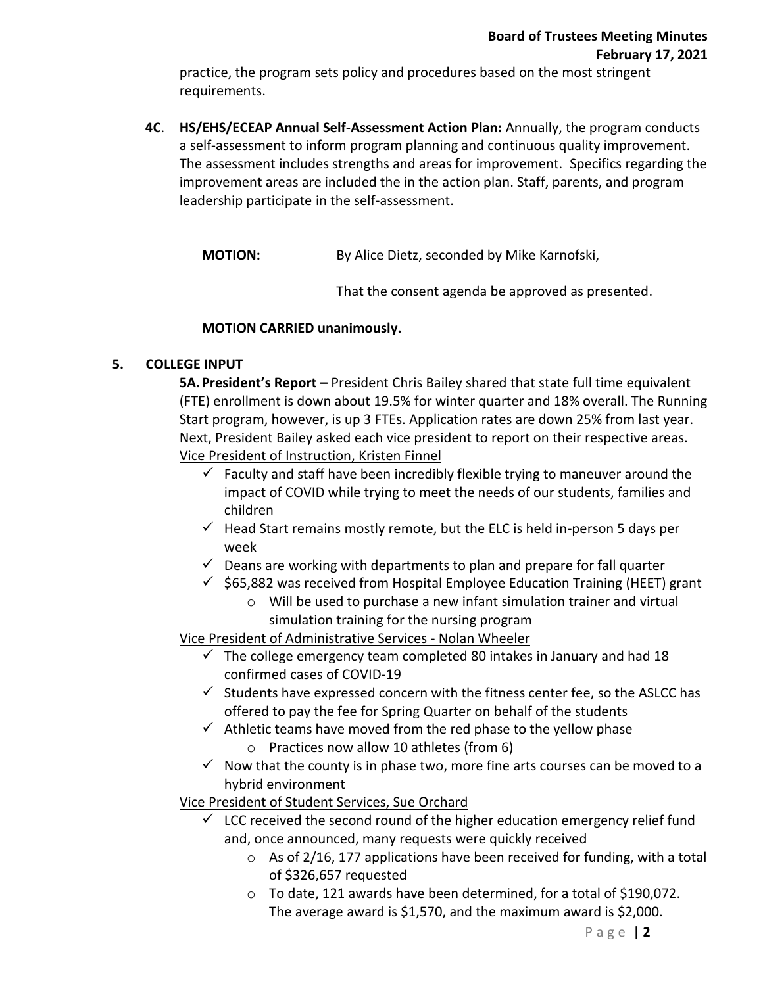practice, the program sets policy and procedures based on the most stringent requirements.

**4C**. **HS/EHS/ECEAP Annual Self-Assessment Action Plan:** Annually, the program conducts a self-assessment to inform program planning and continuous quality improvement. The assessment includes strengths and areas for improvement. Specifics regarding the improvement areas are included the in the action plan. Staff, parents, and program leadership participate in the self-assessment.

**MOTION:** By Alice Dietz, seconded by Mike Karnofski,

That the consent agenda be approved as presented.

# **MOTION CARRIED unanimously.**

# **5. COLLEGE INPUT**

**5A.President's Report –** President Chris Bailey shared that state full time equivalent (FTE) enrollment is down about 19.5% for winter quarter and 18% overall. The Running Start program, however, is up 3 FTEs. Application rates are down 25% from last year. Next, President Bailey asked each vice president to report on their respective areas. Vice President of Instruction, Kristen Finnel

- $\checkmark$  Faculty and staff have been incredibly flexible trying to maneuver around the impact of COVID while trying to meet the needs of our students, families and children
- $\checkmark$  Head Start remains mostly remote, but the ELC is held in-person 5 days per week
- $\checkmark$  Deans are working with departments to plan and prepare for fall quarter
- $\checkmark$  \$65,882 was received from Hospital Employee Education Training (HEET) grant
	- o Will be used to purchase a new infant simulation trainer and virtual simulation training for the nursing program

Vice President of Administrative Services - Nolan Wheeler

- $\checkmark$  The college emergency team completed 80 intakes in January and had 18 confirmed cases of COVID-19
- $\checkmark$  Students have expressed concern with the fitness center fee, so the ASLCC has offered to pay the fee for Spring Quarter on behalf of the students
- $\checkmark$  Athletic teams have moved from the red phase to the yellow phase
	- o Practices now allow 10 athletes (from 6)
- $\checkmark$  Now that the county is in phase two, more fine arts courses can be moved to a hybrid environment

Vice President of Student Services, Sue Orchard

- $\checkmark$  LCC received the second round of the higher education emergency relief fund and, once announced, many requests were quickly received
	- $\circ$  As of 2/16, 177 applications have been received for funding, with a total of \$326,657 requested
	- $\circ$  To date, 121 awards have been determined, for a total of \$190,072. The average award is \$1,570, and the maximum award is \$2,000.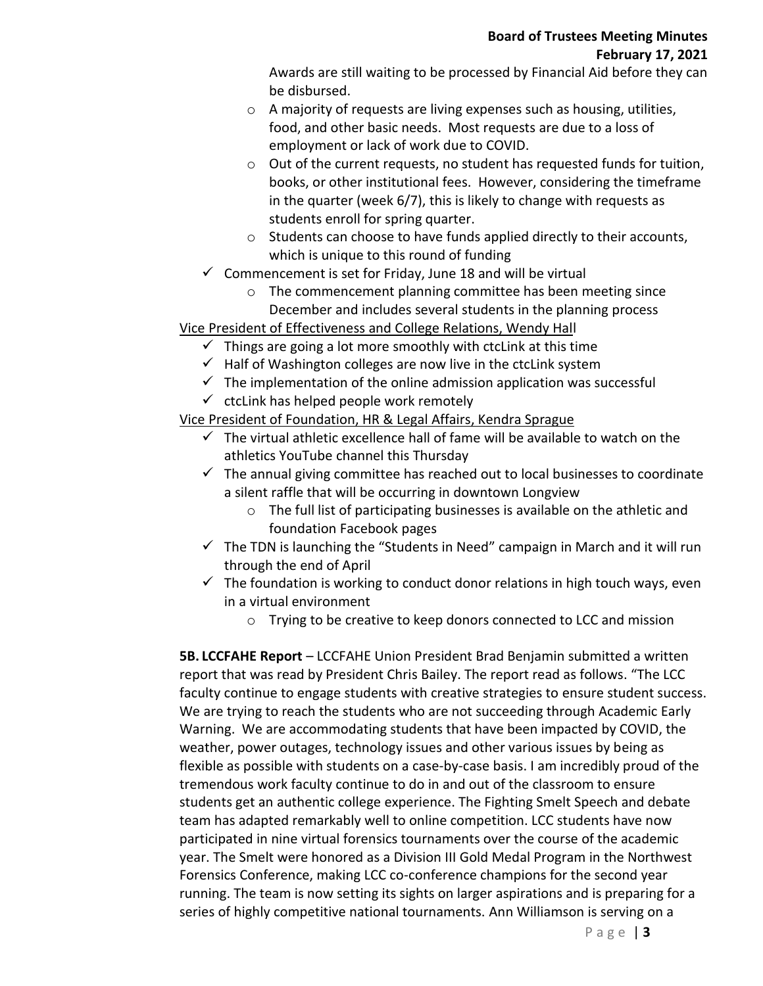# **Board of Trustees Meeting Minutes February 17, 2021**

Awards are still waiting to be processed by Financial Aid before they can be disbursed.

- o A majority of requests are living expenses such as housing, utilities, food, and other basic needs. Most requests are due to a loss of employment or lack of work due to COVID.
- o Out of the current requests, no student has requested funds for tuition, books, or other institutional fees. However, considering the timeframe in the quarter (week 6/7), this is likely to change with requests as students enroll for spring quarter.
- $\circ$  Students can choose to have funds applied directly to their accounts, which is unique to this round of funding
- $\checkmark$  Commencement is set for Friday, June 18 and will be virtual
	- o The commencement planning committee has been meeting since December and includes several students in the planning process

Vice President of Effectiveness and College Relations, Wendy Hall

- $\checkmark$  Things are going a lot more smoothly with ctcLink at this time
- $\checkmark$  Half of Washington colleges are now live in the ctclink system
- $\checkmark$  The implementation of the online admission application was successful
- $\checkmark$  ctcLink has helped people work remotely

Vice President of Foundation, HR & Legal Affairs, Kendra Sprague

- $\checkmark$  The virtual athletic excellence hall of fame will be available to watch on the athletics YouTube channel this Thursday
- $\checkmark$  The annual giving committee has reached out to local businesses to coordinate a silent raffle that will be occurring in downtown Longview
	- o The full list of participating businesses is available on the athletic and foundation Facebook pages
- $\checkmark$  The TDN is launching the "Students in Need" campaign in March and it will run through the end of April
- $\checkmark$  The foundation is working to conduct donor relations in high touch ways, even in a virtual environment
	- o Trying to be creative to keep donors connected to LCC and mission

**5B. LCCFAHE Report** – LCCFAHE Union President Brad Benjamin submitted a written report that was read by President Chris Bailey. The report read as follows. "The LCC faculty continue to engage students with creative strategies to ensure student success. We are trying to reach the students who are not succeeding through Academic Early Warning. We are accommodating students that have been impacted by COVID, the weather, power outages, technology issues and other various issues by being as flexible as possible with students on a case-by-case basis. I am incredibly proud of the tremendous work faculty continue to do in and out of the classroom to ensure students get an authentic college experience. The Fighting Smelt Speech and debate team has adapted remarkably well to online competition. LCC students have now participated in nine virtual forensics tournaments over the course of the academic year. The Smelt were honored as a Division III Gold Medal Program in the Northwest Forensics Conference, making LCC co-conference champions for the second year running. The team is now setting its sights on larger aspirations and is preparing for a series of highly competitive national tournaments. Ann Williamson is serving on a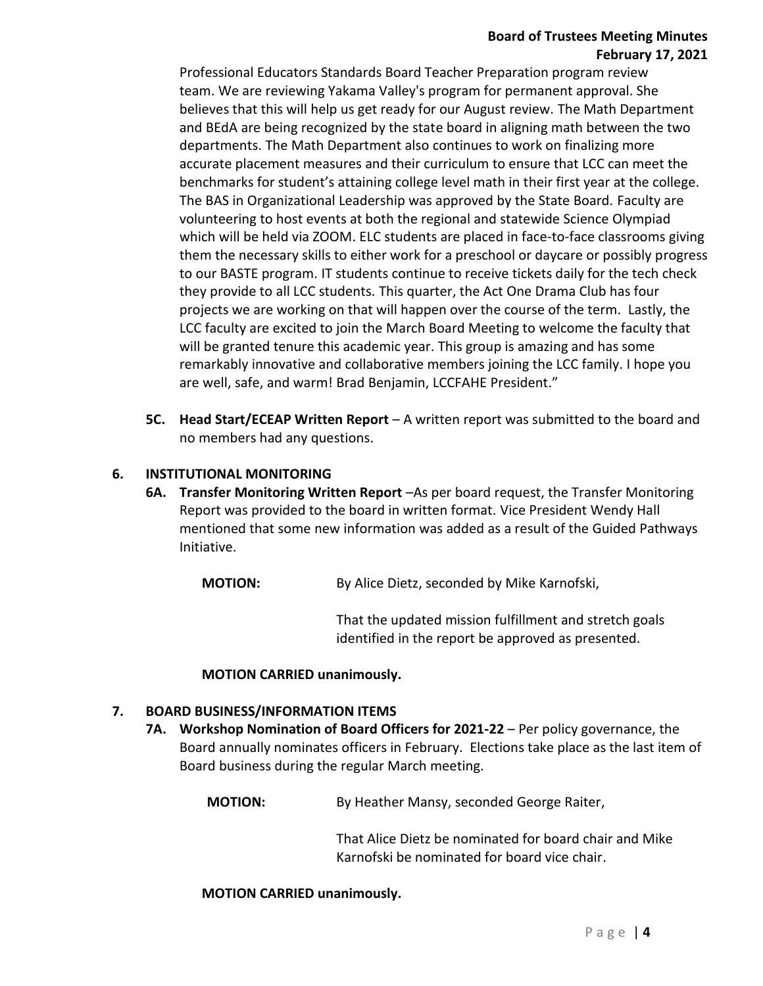# **Board of Trustees Meeting Minutes February 17, 2021**

Professional Educators Standards Board Teacher Preparation program review team. We are reviewing Yakama Valley's program for permanent approval. She believes that this will help us get ready for our August review. The Math Department and BEdA are being recognized by the state board in aligning math between the two departments. The Math Department also continues to work on finalizing more accurate placement measures and their curriculum to ensure that LCC can meet the benchmarks for student's attaining college level math in their first year at the college. The BAS in Organizational Leadership was approved by the State Board. Faculty are volunteering to host events at both the regional and statewide Science Olympiad which will be held via ZOOM. ELC students are placed in face-to-face classrooms giving them the necessary skills to either work for a preschool or daycare or possibly progress to our BASTE program. IT students continue to receive tickets daily for the tech check they provide to all LCC students. This quarter, the Act One Drama Club has four projects we are working on that will happen over the course of the term. Lastly, the LCC faculty are excited to join the March Board Meeting to welcome the faculty that will be granted tenure this academic year. This group is amazing and has some remarkably innovative and collaborative members joining the LCC family. I hope you are well, safe, and warm! Brad Benjamin, LCCFAHE President."

**5C. Head Start/ECEAP Written Report** – A written report was submitted to the board and no members had any questions.

# **6. INSTITUTIONAL MONITORING**

**6A. Transfer Monitoring Written Report** –As per board request, the Transfer Monitoring Report was provided to the board in written format. Vice President Wendy Hall mentioned that some new information was added as a result of the Guided Pathways Initiative.

**MOTION:** By Alice Dietz, seconded by Mike Karnofski,

That the updated mission fulfillment and stretch goals identified in the report be approved as presented.

#### **MOTION CARRIED unanimously.**

#### **7. BOARD BUSINESS/INFORMATION ITEMS**

- **7A. Workshop Nomination of Board Officers for 2021-22** Per policy governance, the Board annually nominates officers in February. Elections take place as the last item of Board business during the regular March meeting.
	- **MOTION:** By Heather Mansy, seconded George Raiter,

That Alice Dietz be nominated for board chair and Mike Karnofski be nominated for board vice chair.

#### **MOTION CARRIED unanimously.**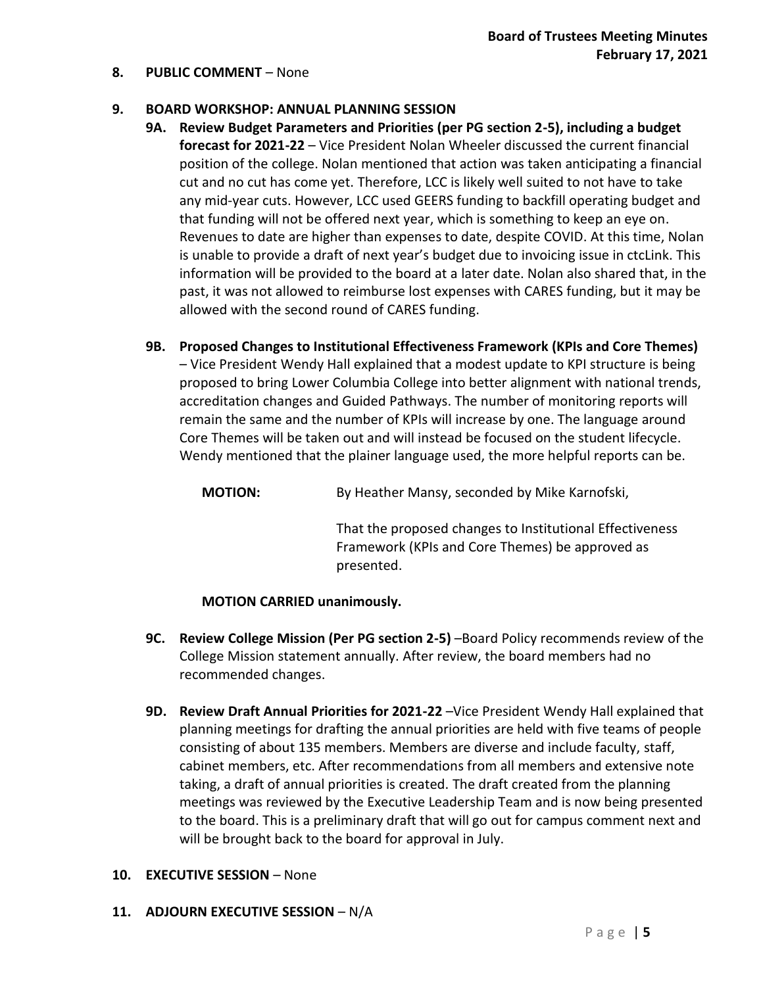#### **8. PUBLIC COMMENT** – None

#### **9. BOARD WORKSHOP: ANNUAL PLANNING SESSION**

- **9A. Review Budget Parameters and Priorities (per PG section 2-5), including a budget forecast for 2021-22** – Vice President Nolan Wheeler discussed the current financial position of the college. Nolan mentioned that action was taken anticipating a financial cut and no cut has come yet. Therefore, LCC is likely well suited to not have to take any mid-year cuts. However, LCC used GEERS funding to backfill operating budget and that funding will not be offered next year, which is something to keep an eye on. Revenues to date are higher than expenses to date, despite COVID. At this time, Nolan is unable to provide a draft of next year's budget due to invoicing issue in ctcLink. This information will be provided to the board at a later date. Nolan also shared that, in the past, it was not allowed to reimburse lost expenses with CARES funding, but it may be allowed with the second round of CARES funding.
- **9B. Proposed Changes to Institutional Effectiveness Framework (KPIs and Core Themes)**  – Vice President Wendy Hall explained that a modest update to KPI structure is being proposed to bring Lower Columbia College into better alignment with national trends, accreditation changes and Guided Pathways. The number of monitoring reports will remain the same and the number of KPIs will increase by one. The language around Core Themes will be taken out and will instead be focused on the student lifecycle. Wendy mentioned that the plainer language used, the more helpful reports can be.

**MOTION:** By Heather Mansy, seconded by Mike Karnofski,

That the proposed changes to Institutional Effectiveness Framework (KPIs and Core Themes) be approved as presented.

#### **MOTION CARRIED unanimously.**

- **9C. Review College Mission (Per PG section 2-5)** –Board Policy recommends review of the College Mission statement annually. After review, the board members had no recommended changes.
- **9D. Review Draft Annual Priorities for 2021-22** –Vice President Wendy Hall explained that planning meetings for drafting the annual priorities are held with five teams of people consisting of about 135 members. Members are diverse and include faculty, staff, cabinet members, etc. After recommendations from all members and extensive note taking, a draft of annual priorities is created. The draft created from the planning meetings was reviewed by the Executive Leadership Team and is now being presented to the board. This is a preliminary draft that will go out for campus comment next and will be brought back to the board for approval in July.

#### **10. EXECUTIVE SESSION** – None

**11. ADJOURN EXECUTIVE SESSION** – N/A